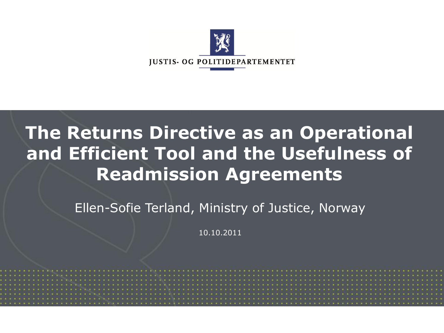

#### **The Returns Directive as an Operational and Efficient Tool and the Usefulness of Readmission Agreements**

Ellen-Sofie Terland, Ministry of Justice, Norway

10.10.2011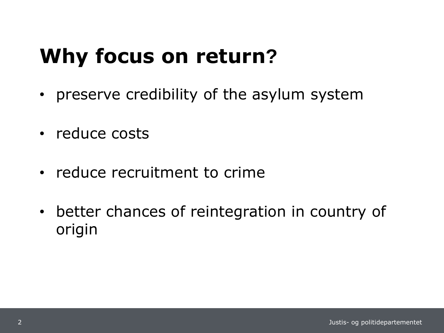### **Why focus on return?**

- preserve credibility of the asylum system
- reduce costs
- reduce recruitment to crime
- better chances of reintegration in country of origin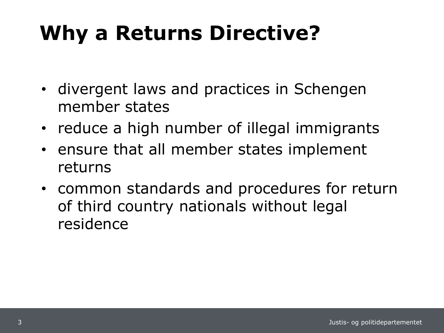# **Why a Returns Directive?**

- divergent laws and practices in Schengen member states
- reduce a high number of illegal immigrants
- ensure that all member states implement returns
- common standards and procedures for return of third country nationals without legal residence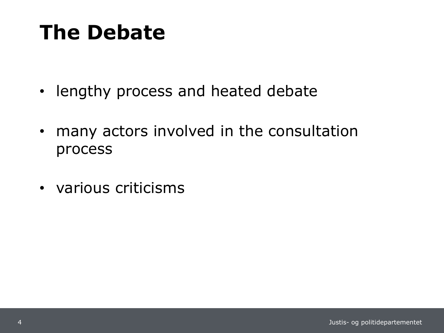### **The Debate**

- lengthy process and heated debate
- many actors involved in the consultation process
- various criticisms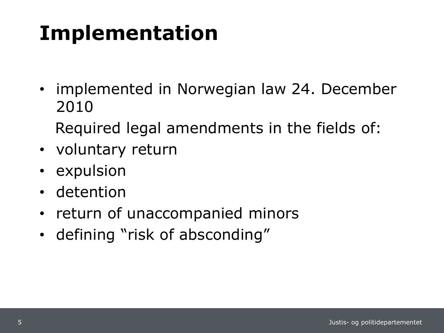# **Implementation**

• implemented in Norwegian law 24. December 2010

Required legal amendments in the fields of:

- voluntary return
- expulsion
- detention
- return of unaccompanied minors
- defining "risk of absconding"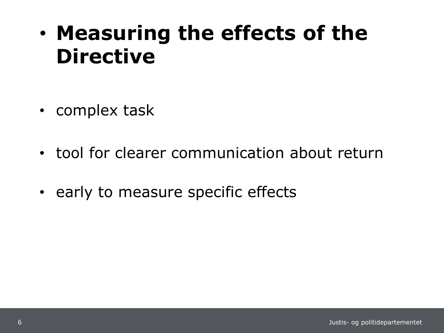### • **Measuring the effects of the Directive**

- complex task
- tool for clearer communication about return
- early to measure specific effects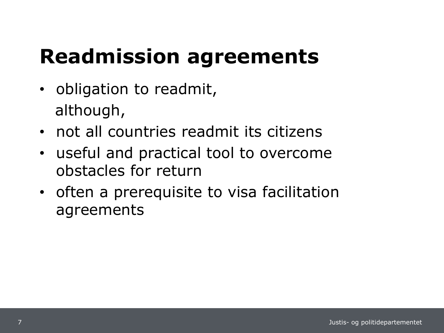# **Readmission agreements**

- obligation to readmit, although,
- not all countries readmit its citizens
- useful and practical tool to overcome obstacles for return
- often a prerequisite to visa facilitation agreements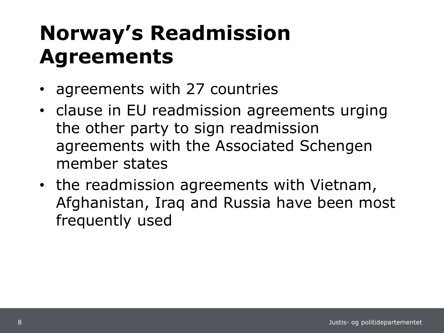# **Norway's Readmission Agreements**

- agreements with 27 countries
- clause in EU readmission agreements urging the other party to sign readmission agreements with the Associated Schengen member states
- the readmission agreements with Vietnam, Afghanistan, Iraq and Russia have been most frequently used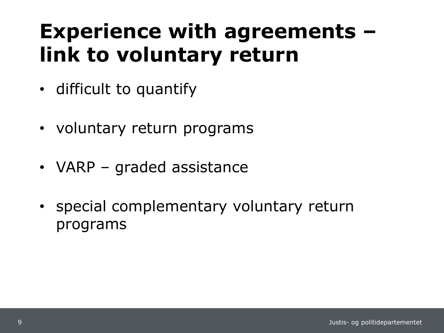# **Experience with agreements – link to voluntary return**

- difficult to quantify
- voluntary return programs
- VARP graded assistance
- special complementary voluntary return programs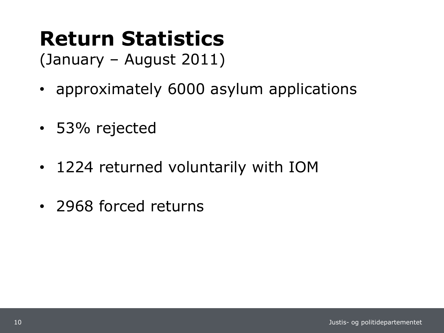# **Return Statistics**

(January – August 2011)

- approximately 6000 asylum applications
- 53% rejected
- 1224 returned voluntarily with IOM
- 2968 forced returns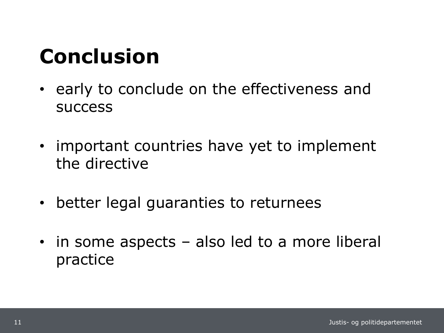# **Conclusion**

- early to conclude on the effectiveness and success
- important countries have yet to implement the directive
- better legal guaranties to returnees
- in some aspects also led to a more liberal practice